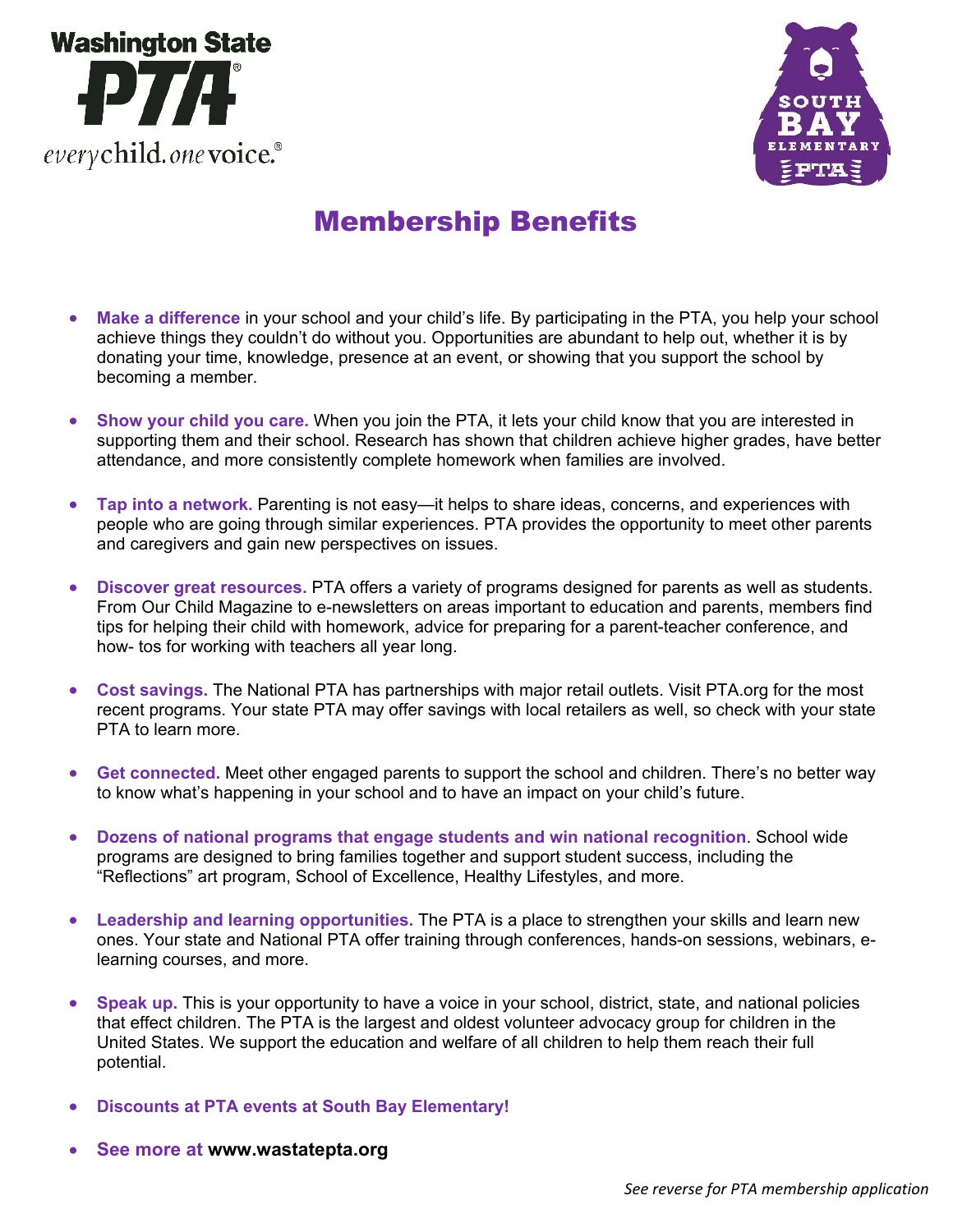



## Membership Benefits

- **Make a difference** in your school and your child's life. By participating in the PTA, you help your school achieve things they couldn't do without you. Opportunities are abundant to help out, whether it is by donating your time, knowledge, presence at an event, or showing that you support the school by becoming a member.
- Show your child you care. When you join the PTA, it lets your child know that you are interested in supporting them and their school. Research has shown that children achieve higher grades, have better attendance, and more consistently complete homework when families are involved.
- **Tap into a network.** Parenting is not easy—it helps to share ideas, concerns, and experiences with people who are going through similar experiences. PTA provides the opportunity to meet other parents and caregivers and gain new perspectives on issues.
- **Discover great resources.** PTA offers a variety of programs designed for parents as well as students. From Our Child Magazine to e-newsletters on areas important to education and parents, members find tips for helping their child with homework, advice for preparing for a parent-teacher conference, and how- tos for working with teachers all year long.
- **Cost savings.** The National PTA has partnerships with major retail outlets. Visit PTA.org for the most recent programs. Your state PTA may offer savings with local retailers as well, so check with your state PTA to learn more.
- **Get connected.** Meet other engaged parents to support the school and children. There's no better way to know what's happening in your school and to have an impact on your child's future.
- **Dozens of national programs that engage students and win national recognition**. School wide programs are designed to bring families together and support student success, including the "Reflections" art program, School of Excellence, Healthy Lifestyles, and more.
- **Leadership and learning opportunities.** The PTA is a place to strengthen your skills and learn new ones. Your state and National PTA offer training through conferences, hands-on sessions, webinars, elearning courses, and more.
- **Speak up.** This is your opportunity to have a voice in your school, district, state, and national policies that effect children. The PTA is the largest and oldest volunteer advocacy group for children in the United States. We support the education and welfare of all children to help them reach their full potential.
- **Discounts at PTA events at South Bay Elementary!**
- **See more at www.wastatepta.org**